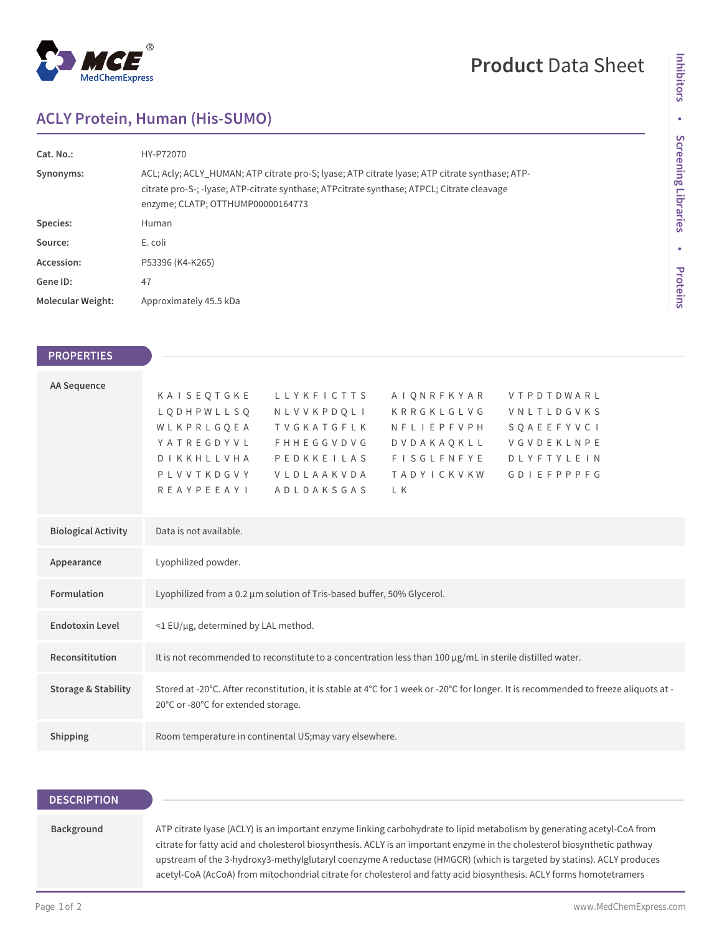

## **Product** Data Sheet

## **ACLY Protein, Human (His-SUMO)**

| Cat. No.:                | HY-P72070                                                                                                                                                                                                                         |
|--------------------------|-----------------------------------------------------------------------------------------------------------------------------------------------------------------------------------------------------------------------------------|
| Synonyms:                | ACL; Acly; ACLY_HUMAN; ATP citrate pro-S; lyase; ATP citrate lyase; ATP citrate synthase; ATP-<br>citrate pro-S-; -lyase; ATP-citrate synthase; ATPcitrate synthase; ATPCL; Citrate cleavage<br>enzyme; CLATP; OTTHUMP00000164773 |
| Species:                 | Human                                                                                                                                                                                                                             |
| Source:                  | E. coli                                                                                                                                                                                                                           |
| Accession:               | P53396 (K4-K265)                                                                                                                                                                                                                  |
| Gene ID:                 | 47                                                                                                                                                                                                                                |
| <b>Molecular Weight:</b> | Approximately 45.5 kDa                                                                                                                                                                                                            |

| <b>PROPERTIES</b>              |                                                                                                                                                                                                                                                                                                                                                                                                                                           |
|--------------------------------|-------------------------------------------------------------------------------------------------------------------------------------------------------------------------------------------------------------------------------------------------------------------------------------------------------------------------------------------------------------------------------------------------------------------------------------------|
| <b>AA Sequence</b>             | KAISEQTGKE<br><b>LLYKFICTTS</b><br>AIONRFKYAR<br>VTPDTDWARL<br>L Q D H P W L L S Q<br>KRRGKLGLVG<br>NLVVKPDOLI<br>VNLTLDGVKS<br>WLKPRLGOEA<br>TVGKATGFLK<br>SOAEEFYVCI<br>NFLIEPFVPH<br>YATREGDYVL<br>VGVDEKLNPE<br><b>FHHEGGVDVG</b><br>DVDAKAOKLL<br>PEDKKEILAS<br><b>FISGLFNFYE</b><br><b>DLYFTYLEIN</b><br>DIKKHLLVHA<br>PLVVTKDGVY<br>VLDLAAKVDA<br><b>TADYICKVKW</b><br><b>GDIEFPPPFG</b><br><b>REAYPEEAYI</b><br>ADLDAKSGAS<br>L K |
| <b>Biological Activity</b>     | Data is not available.                                                                                                                                                                                                                                                                                                                                                                                                                    |
| Appearance                     | Lyophilized powder.                                                                                                                                                                                                                                                                                                                                                                                                                       |
| Formulation                    | Lyophilized from a 0.2 µm solution of Tris-based buffer, 50% Glycerol.                                                                                                                                                                                                                                                                                                                                                                    |
| <b>Endotoxin Level</b>         | <1 EU/µg, determined by LAL method.                                                                                                                                                                                                                                                                                                                                                                                                       |
| Reconsititution                | It is not recommended to reconstitute to a concentration less than 100 µg/mL in sterile distilled water.                                                                                                                                                                                                                                                                                                                                  |
| <b>Storage &amp; Stability</b> | Stored at -20°C. After reconstitution, it is stable at 4°C for 1 week or -20°C for longer. It is recommended to freeze aliquots at -<br>20°C or -80°C for extended storage.                                                                                                                                                                                                                                                               |
| Shipping                       | Room temperature in continental US; may vary elsewhere.                                                                                                                                                                                                                                                                                                                                                                                   |

| <b>DESCRIPTION</b> |                                                                                                                                                                                                                                                    |
|--------------------|----------------------------------------------------------------------------------------------------------------------------------------------------------------------------------------------------------------------------------------------------|
| Background         | ATP citrate lyase (ACLY) is an important enzyme linking carbohydrate to lipid metabolism by generating acetyl-CoA from<br>citrate for fatty acid and cholesterol biosynthesis. ACLY is an important enzyme in the cholesterol biosynthetic pathway |
|                    | upstream of the 3-hydroxy3-methylglutaryl coenzyme A reductase (HMGCR) (which is targeted by statins). ACLY produces<br>acetyl-CoA (AcCoA) from mitochondrial citrate for cholesterol and fatty acid biosynthesis. ACLY forms homotetramers        |